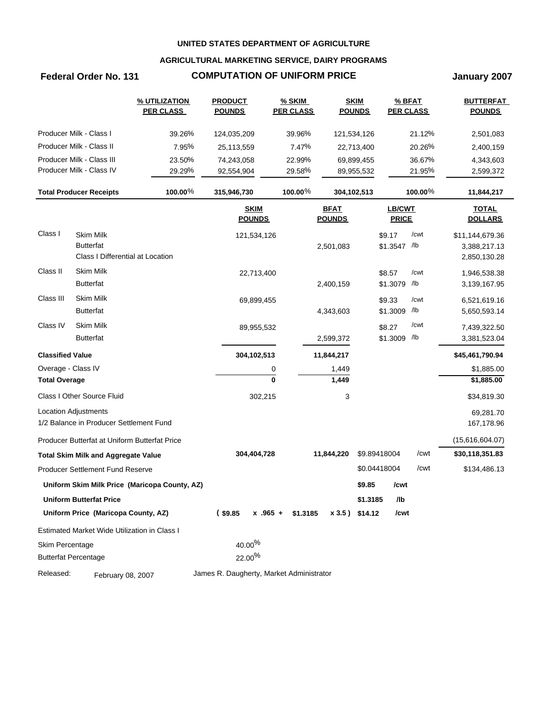### **AGRICULTURAL MARKETING SERVICE, DAIRY PROGRAMS**

# **Federal Order No. 131 COMPUTATION OF UNIFORM PRICE January 2007**

|                         |                                               | % UTILIZATION<br><b>PER CLASS</b>             | <b>PRODUCT</b><br><b>POUNDS</b>          | <b>% SKIM</b><br><b>PER CLASS</b> |               | <b>SKIM</b><br><b>POUNDS</b> | % BFAT<br><b>PER CLASS</b> |            | <b>BUTTERFAT</b><br><b>POUNDS</b> |
|-------------------------|-----------------------------------------------|-----------------------------------------------|------------------------------------------|-----------------------------------|---------------|------------------------------|----------------------------|------------|-----------------------------------|
|                         | Producer Milk - Class I                       | 39.26%                                        | 124,035,209                              | 39.96%                            |               | 121,534,126                  |                            | 21.12%     | 2,501,083                         |
|                         | Producer Milk - Class II                      | 7.95%                                         | 25,113,559                               | 7.47%                             |               | 22,713,400                   |                            | 20.26%     | 2,400,159                         |
|                         | Producer Milk - Class III                     | 23.50%                                        | 74,243,058                               | 22.99%                            |               | 69,899,455                   |                            | 36.67%     | 4,343,603                         |
|                         | Producer Milk - Class IV                      | 29.29%                                        | 92,554,904                               | 29.58%                            |               | 89,955,532                   |                            | 21.95%     | 2,599,372                         |
|                         | <b>Total Producer Receipts</b>                | 100.00%                                       | 315,946,730                              | 100.00 $%$                        |               | 304,102,513                  |                            | 100.00 $%$ | 11,844,217                        |
|                         |                                               |                                               | <b>SKIM</b>                              |                                   | <b>BFAT</b>   |                              | LB/CWT                     |            | <b>TOTAL</b>                      |
|                         |                                               |                                               | <b>POUNDS</b>                            |                                   | <b>POUNDS</b> |                              | <b>PRICE</b>               |            | <b>DOLLARS</b>                    |
| Class I                 | <b>Skim Milk</b>                              |                                               | 121,534,126                              |                                   |               |                              | \$9.17                     | /cwt       | \$11,144,679.36                   |
|                         | <b>Butterfat</b>                              |                                               |                                          |                                   | 2,501,083     |                              | \$1.3547 /lb               |            | 3,388,217.13                      |
|                         | Class I Differential at Location              |                                               |                                          |                                   |               |                              |                            |            | 2,850,130.28                      |
| Class II                | <b>Skim Milk</b>                              |                                               | 22,713,400                               |                                   |               |                              | \$8.57                     | /cwt       | 1,946,538.38                      |
|                         | <b>Butterfat</b>                              |                                               |                                          |                                   | 2,400,159     |                              | \$1.3079 /lb               |            | 3,139,167.95                      |
| Class III               | <b>Skim Milk</b>                              |                                               | 69,899,455                               |                                   |               |                              | \$9.33                     | /cwt       | 6,521,619.16                      |
|                         | <b>Butterfat</b>                              |                                               |                                          |                                   | 4,343,603     |                              | \$1.3009                   | /lb        | 5,650,593.14                      |
| Class IV                | <b>Skim Milk</b>                              |                                               | 89,955,532                               |                                   |               |                              | \$8.27                     | /cwt       | 7,439,322.50                      |
|                         | <b>Butterfat</b>                              |                                               |                                          |                                   | 2,599,372     |                              | \$1.3009 /lb               |            | 3,381,523.04                      |
| <b>Classified Value</b> |                                               |                                               | 304,102,513                              |                                   | 11,844,217    |                              |                            |            | \$45,461,790.94                   |
| Overage - Class IV      |                                               |                                               |                                          | 0                                 | 1,449         |                              |                            |            | \$1,885.00                        |
| <b>Total Overage</b>    |                                               |                                               |                                          | $\bf{0}$                          | 1,449         |                              |                            |            | \$1,885.00                        |
|                         | Class I Other Source Fluid                    |                                               | 302,215                                  |                                   | 3             |                              |                            |            | \$34,819.30                       |
|                         | Location Adjustments                          |                                               |                                          |                                   |               |                              |                            |            | 69,281.70                         |
|                         | 1/2 Balance in Producer Settlement Fund       |                                               |                                          |                                   |               |                              |                            |            | 167,178.96                        |
|                         | Producer Butterfat at Uniform Butterfat Price |                                               |                                          |                                   |               |                              |                            |            | (15,616,604.07)                   |
|                         | <b>Total Skim Milk and Aggregate Value</b>    |                                               | 304,404,728                              |                                   | 11,844,220    |                              | \$9.89418004               | /cwt       | \$30,118,351.83                   |
|                         | Producer Settlement Fund Reserve              |                                               |                                          |                                   |               |                              | \$0.04418004               | /cwt       | \$134,486.13                      |
|                         |                                               | Uniform Skim Milk Price (Maricopa County, AZ) |                                          |                                   |               | \$9.85                       | /cwt                       |            |                                   |
|                         | <b>Uniform Butterfat Price</b>                |                                               |                                          |                                   |               | \$1.3185                     | /lb                        |            |                                   |
|                         | Uniform Price (Maricopa County, AZ)           |                                               | $($ \$9.85<br>$x - 965 +$                | \$1.3185                          |               | $x3.5$ ) \$14.12             | /cwt                       |            |                                   |
|                         | Estimated Market Wide Utilization in Class I  |                                               |                                          |                                   |               |                              |                            |            |                                   |
| Skim Percentage         |                                               |                                               | $40.00\%$                                |                                   |               |                              |                            |            |                                   |
|                         | <b>Butterfat Percentage</b>                   |                                               | 22.00%                                   |                                   |               |                              |                            |            |                                   |
| Released:               | February 08, 2007                             |                                               | James R. Daugherty, Market Administrator |                                   |               |                              |                            |            |                                   |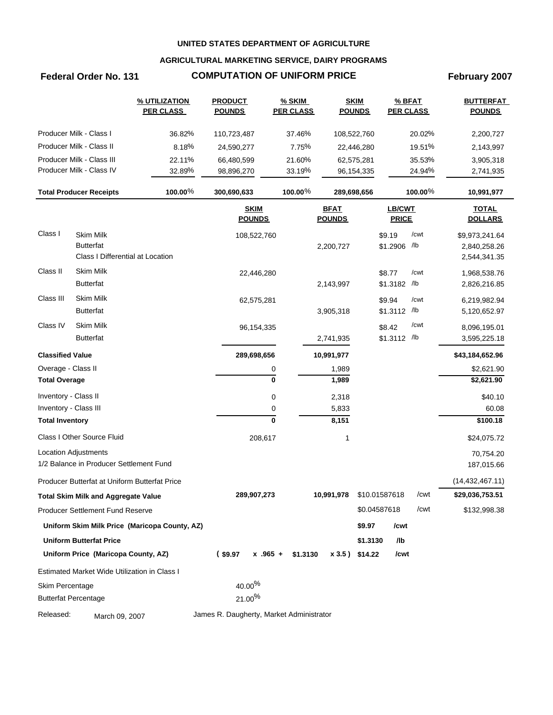### **AGRICULTURAL MARKETING SERVICE, DAIRY PROGRAMS**

# **Federal Order No. 131 COMPUTATION OF UNIFORM PRICE February 2007**

|                             |                                               | % UTILIZATION<br><b>PER CLASS</b>             | <b>PRODUCT</b><br><b>POUNDS</b>          | <b>% SKIM</b><br><b>PER CLASS</b> |                              | <b>SKIM</b><br><b>POUNDS</b> | % BFAT<br><b>PER CLASS</b>    |         | <b>BUTTERFAT</b><br><b>POUNDS</b> |
|-----------------------------|-----------------------------------------------|-----------------------------------------------|------------------------------------------|-----------------------------------|------------------------------|------------------------------|-------------------------------|---------|-----------------------------------|
|                             | Producer Milk - Class I                       | 36.82%                                        | 110,723,487                              | 37.46%                            |                              | 108,522,760                  |                               | 20.02%  | 2,200,727                         |
|                             | Producer Milk - Class II                      | 8.18%                                         | 24,590,277                               | 7.75%                             |                              | 22,446,280                   |                               | 19.51%  | 2,143,997                         |
|                             | Producer Milk - Class III                     | 22.11%                                        | 66,480,599                               | 21.60%                            |                              | 62,575,281                   |                               | 35.53%  | 3,905,318                         |
|                             | Producer Milk - Class IV                      | 32.89%                                        | 98,896,270                               | 33.19%                            |                              | 96, 154, 335                 |                               | 24.94%  | 2,741,935                         |
|                             | <b>Total Producer Receipts</b>                | 100.00 $%$                                    | 300,690,633                              | 100.00 $%$                        |                              | 289,698,656                  |                               | 100.00% | 10,991,977                        |
|                             |                                               |                                               | <b>SKIM</b><br><b>POUNDS</b>             |                                   | <b>BFAT</b><br><b>POUNDS</b> |                              | <b>LB/CWT</b><br><b>PRICE</b> |         | <b>TOTAL</b><br><b>DOLLARS</b>    |
| Class I                     | <b>Skim Milk</b>                              |                                               | 108,522,760                              |                                   |                              |                              | \$9.19                        | /cwt    | \$9,973,241.64                    |
|                             | <b>Butterfat</b>                              |                                               |                                          |                                   | 2,200,727                    |                              | \$1.2906 /lb                  |         | 2,840,258.26                      |
|                             | Class I Differential at Location              |                                               |                                          |                                   |                              |                              |                               |         | 2,544,341.35                      |
| Class II                    | Skim Milk                                     |                                               | 22,446,280                               |                                   |                              |                              | \$8.77                        | /cwt    | 1,968,538.76                      |
|                             | <b>Butterfat</b>                              |                                               |                                          |                                   | 2,143,997                    |                              | \$1.3182 /lb                  |         | 2,826,216.85                      |
| Class III                   | Skim Milk                                     |                                               | 62,575,281                               |                                   |                              |                              | \$9.94                        | /cwt    | 6,219,982.94                      |
|                             | <b>Butterfat</b>                              |                                               |                                          |                                   | 3,905,318                    |                              | \$1.3112 /lb                  |         | 5,120,652.97                      |
| Class IV                    | Skim Milk                                     |                                               | 96, 154, 335                             |                                   |                              |                              | \$8.42                        | /cwt    | 8,096,195.01                      |
|                             | <b>Butterfat</b>                              |                                               |                                          |                                   | 2,741,935                    |                              | \$1.3112 /lb                  |         | 3,595,225.18                      |
| <b>Classified Value</b>     |                                               |                                               | 289,698,656                              |                                   | 10,991,977                   |                              |                               |         | \$43,184,652.96                   |
| Overage - Class II          |                                               |                                               |                                          | 0                                 | 1,989                        |                              |                               |         | \$2,621.90                        |
| <b>Total Overage</b>        |                                               |                                               |                                          | 0                                 | 1,989                        |                              |                               |         | \$2,621.90                        |
| Inventory - Class II        |                                               |                                               |                                          | 0                                 | 2,318                        |                              |                               |         | \$40.10                           |
| Inventory - Class III       |                                               |                                               |                                          | 0                                 | 5,833                        |                              |                               |         | 60.08                             |
| <b>Total Inventory</b>      |                                               |                                               |                                          | $\mathbf 0$                       | 8,151                        |                              |                               |         | \$100.18                          |
|                             | Class I Other Source Fluid                    |                                               | 208,617                                  |                                   | 1                            |                              |                               |         | \$24,075.72                       |
|                             | <b>Location Adjustments</b>                   |                                               |                                          |                                   |                              |                              |                               |         | 70,754.20                         |
|                             | 1/2 Balance in Producer Settlement Fund       |                                               |                                          |                                   |                              |                              |                               |         | 187,015.66                        |
|                             | Producer Butterfat at Uniform Butterfat Price |                                               |                                          |                                   |                              |                              |                               |         | (14, 432, 467.11)                 |
|                             | <b>Total Skim Milk and Aggregate Value</b>    |                                               | 289,907,273                              |                                   | 10,991,978                   |                              | \$10.01587618                 | /cwt    | \$29,036,753.51                   |
|                             | Producer Settlement Fund Reserve              |                                               |                                          |                                   |                              | \$0.04587618                 |                               | /cwt    | \$132,998.38                      |
|                             |                                               | Uniform Skim Milk Price (Maricopa County, AZ) |                                          |                                   |                              | \$9.97                       | /cwt                          |         |                                   |
|                             | <b>Uniform Butterfat Price</b>                |                                               |                                          |                                   |                              | \$1.3130                     | /lb                           |         |                                   |
|                             | Uniform Price (Maricopa County, AZ)           |                                               | $(*9.97)$                                | $x.965 +$<br>\$1.3130             |                              | x 3.5) \$14.22               | /cwt                          |         |                                   |
|                             | Estimated Market Wide Utilization in Class I  |                                               |                                          |                                   |                              |                              |                               |         |                                   |
| Skim Percentage             |                                               |                                               | $40.00\%$                                |                                   |                              |                              |                               |         |                                   |
| <b>Butterfat Percentage</b> |                                               |                                               | 21.00%                                   |                                   |                              |                              |                               |         |                                   |
| Released:                   | March 09, 2007                                |                                               | James R. Daugherty, Market Administrator |                                   |                              |                              |                               |         |                                   |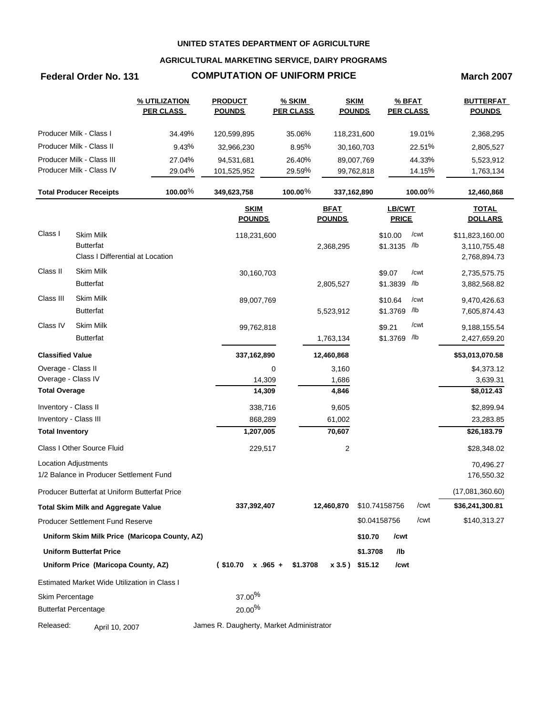### **AGRICULTURAL MARKETING SERVICE, DAIRY PROGRAMS**

## **Federal Order No. 131 COMPUTATION OF UNIFORM PRICE March 2007**

|                         |                                                      | % UTILIZATION<br><b>PER CLASS</b>             | <b>PRODUCT</b><br><b>POUNDS</b>          | <b>% SKIM</b><br><b>PER CLASS</b> | <b>POUNDS</b>                | <b>SKIM</b>   | % BFAT<br><b>PER CLASS</b>    |            | <b>BUTTERFAT</b><br><b>POUNDS</b> |
|-------------------------|------------------------------------------------------|-----------------------------------------------|------------------------------------------|-----------------------------------|------------------------------|---------------|-------------------------------|------------|-----------------------------------|
|                         | Producer Milk - Class I                              | 34.49%                                        | 120,599,895                              | 35.06%                            | 118,231,600                  |               |                               | 19.01%     | 2,368,295                         |
|                         | Producer Milk - Class II                             | 9.43%                                         | 32,966,230                               | 8.95%                             |                              | 30,160,703    |                               | 22.51%     | 2,805,527                         |
|                         | Producer Milk - Class III                            | 27.04%                                        | 94,531,681                               | 26.40%                            |                              | 89,007,769    |                               | 44.33%     | 5,523,912                         |
|                         | Producer Milk - Class IV                             | 29.04%                                        | 101,525,952                              | 29.59%                            |                              | 99,762,818    |                               | 14.15%     | 1,763,134                         |
|                         | <b>Total Producer Receipts</b>                       | $100.00\%$                                    | 349,623,758                              | 100.00%                           | 337,162,890                  |               |                               | 100.00 $%$ | 12,460,868                        |
|                         |                                                      |                                               | <b>SKIM</b><br><b>POUNDS</b>             |                                   | <b>BFAT</b><br><b>POUNDS</b> |               | <b>LB/CWT</b><br><b>PRICE</b> |            | <b>TOTAL</b><br><b>DOLLARS</b>    |
| Class I                 | <b>Skim Milk</b>                                     |                                               | 118,231,600                              |                                   |                              |               | \$10.00                       | /cwt       | \$11,823,160.00                   |
|                         | <b>Butterfat</b><br>Class I Differential at Location |                                               |                                          |                                   | 2,368,295                    |               | \$1.3135 /lb                  |            | 3,110,755.48<br>2,768,894.73      |
| Class II                | <b>Skim Milk</b>                                     |                                               |                                          |                                   |                              |               |                               | /cwt       |                                   |
|                         | <b>Butterfat</b>                                     |                                               | 30,160,703                               |                                   | 2,805,527                    |               | \$9.07<br>\$1.3839            | /lb        | 2,735,575.75<br>3,882,568.82      |
| Class III               | Skim Milk                                            |                                               | 89,007,769                               |                                   |                              |               | \$10.64                       | /cwt       | 9,470,426.63                      |
|                         | <b>Butterfat</b>                                     |                                               |                                          |                                   | 5,523,912                    |               | \$1.3769 /lb                  |            | 7,605,874.43                      |
| Class IV                | Skim Milk                                            |                                               | 99,762,818                               |                                   |                              |               | \$9.21                        | /cwt       | 9,188,155.54                      |
|                         | <b>Butterfat</b>                                     |                                               |                                          |                                   | 1,763,134                    |               | \$1.3769 /lb                  |            | 2,427,659.20                      |
| <b>Classified Value</b> |                                                      |                                               | 337,162,890                              |                                   | 12,460,868                   |               |                               |            | \$53,013,070.58                   |
| Overage - Class II      |                                                      |                                               |                                          | 0                                 | 3,160                        |               |                               |            | \$4,373.12                        |
| Overage - Class IV      |                                                      |                                               | 14,309                                   |                                   | 1,686                        |               |                               |            | 3,639.31                          |
| <b>Total Overage</b>    |                                                      |                                               | 14,309                                   |                                   | 4,846                        |               |                               |            | \$8,012.43                        |
| Inventory - Class II    |                                                      |                                               | 338,716                                  |                                   | 9,605                        |               |                               |            | \$2,899.94                        |
| Inventory - Class III   |                                                      |                                               | 868,289                                  |                                   | 61,002                       |               |                               |            | 23,283.85                         |
| <b>Total Inventory</b>  |                                                      |                                               | 1,207,005                                |                                   | 70,607                       |               |                               |            | \$26,183.79                       |
|                         | <b>Class I Other Source Fluid</b>                    |                                               | 229,517                                  |                                   | 2                            |               |                               |            | \$28,348.02                       |
|                         | <b>Location Adjustments</b>                          |                                               |                                          |                                   |                              |               |                               |            | 70,496.27                         |
|                         | 1/2 Balance in Producer Settlement Fund              |                                               |                                          |                                   |                              |               |                               |            | 176,550.32                        |
|                         | Producer Butterfat at Uniform Butterfat Price        |                                               |                                          |                                   |                              |               |                               |            | (17,081,360.60)                   |
|                         | <b>Total Skim Milk and Aggregate Value</b>           |                                               | 337,392,407                              |                                   | 12,460,870                   | \$10.74158756 |                               | /cwt       | \$36,241,300.81                   |
|                         | <b>Producer Settlement Fund Reserve</b>              |                                               |                                          |                                   |                              | \$0.04158756  |                               | /cwt       | \$140,313.27                      |
|                         |                                                      | Uniform Skim Milk Price (Maricopa County, AZ) |                                          |                                   |                              | \$10.70       | /cwt                          |            |                                   |
|                         | <b>Uniform Butterfat Price</b>                       |                                               |                                          |                                   |                              | \$1.3708      | /lb                           |            |                                   |
|                         | Uniform Price (Maricopa County, AZ)                  |                                               | $($10.70 \times .965 +$                  | \$1.3708                          | x 3.5) \$15.12               |               | /cwt                          |            |                                   |
|                         | Estimated Market Wide Utilization in Class I         |                                               |                                          |                                   |                              |               |                               |            |                                   |
| Skim Percentage         |                                                      |                                               | 37.00%                                   |                                   |                              |               |                               |            |                                   |
|                         | <b>Butterfat Percentage</b>                          |                                               | $20.00\%$                                |                                   |                              |               |                               |            |                                   |
| Released:               | April 10, 2007                                       |                                               | James R. Daugherty, Market Administrator |                                   |                              |               |                               |            |                                   |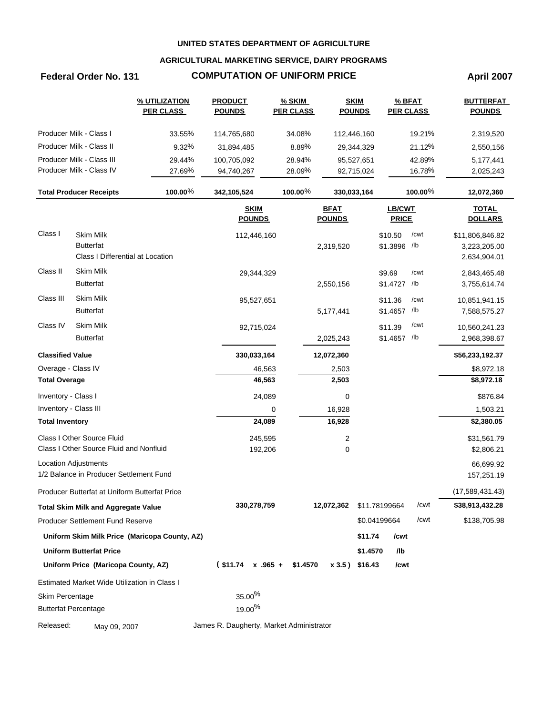### **AGRICULTURAL MARKETING SERVICE, DAIRY PROGRAMS**

# **Federal Order No. 131 COMPUTATION OF UNIFORM PRICE April 2007**

|                         |                                                                          | % UTILIZATION<br><b>PER CLASS</b>             | <b>PRODUCT</b><br><b>POUNDS</b>          | <b>% SKIM</b><br><b>PER CLASS</b> | <b>SKIM</b><br><b>POUNDS</b> |               | % BFAT<br><b>PER CLASS</b> |            | <b>BUTTERFAT</b><br><b>POUNDS</b>               |
|-------------------------|--------------------------------------------------------------------------|-----------------------------------------------|------------------------------------------|-----------------------------------|------------------------------|---------------|----------------------------|------------|-------------------------------------------------|
|                         | Producer Milk - Class I                                                  | 33.55%                                        | 114,765,680                              | 34.08%                            | 112,446,160                  |               |                            | 19.21%     | 2,319,520                                       |
|                         | Producer Milk - Class II                                                 | 9.32%                                         | 31,894,485                               | 8.89%                             |                              | 29,344,329    |                            | 21.12%     | 2,550,156                                       |
|                         | Producer Milk - Class III                                                | 29.44%                                        | 100,705,092                              | 28.94%                            |                              | 95,527,651    |                            | 42.89%     | 5,177,441                                       |
|                         | Producer Milk - Class IV                                                 | 27.69%                                        | 94,740,267                               | 28.09%                            |                              | 92,715,024    |                            | 16.78%     | 2,025,243                                       |
|                         | <b>Total Producer Receipts</b>                                           | 100.00%                                       | 342,105,524                              | 100.00%                           | 330,033,164                  |               |                            | 100.00 $%$ | 12,072,360                                      |
|                         |                                                                          |                                               | <b>SKIM</b><br><b>POUNDS</b>             |                                   | <b>BFAT</b><br><b>POUNDS</b> |               | LB/CWT<br><b>PRICE</b>     |            | <b>TOTAL</b><br><b>DOLLARS</b>                  |
| Class I                 | <b>Skim Milk</b><br><b>Butterfat</b><br>Class I Differential at Location |                                               | 112,446,160                              |                                   | 2,319,520                    |               | \$10.50<br>\$1.3896 /lb    | /cwt       | \$11,806,846.82<br>3,223,205.00<br>2,634,904.01 |
| Class II                | <b>Skim Milk</b><br><b>Butterfat</b>                                     |                                               | 29,344,329                               |                                   | 2,550,156                    |               | \$9.69<br>\$1.4727 /lb     | /cwt       | 2,843,465.48<br>3,755,614.74                    |
| Class III               | <b>Skim Milk</b><br><b>Butterfat</b>                                     |                                               | 95,527,651                               |                                   | 5,177,441                    |               | \$11.36<br>\$1.4657 /lb    | /cwt       | 10,851,941.15<br>7,588,575.27                   |
| Class IV                | <b>Skim Milk</b><br><b>Butterfat</b>                                     |                                               | 92,715,024                               |                                   | 2,025,243                    |               | \$11.39<br>\$1.4657 /lb    | /cwt       | 10,560,241.23<br>2,968,398.67                   |
| <b>Classified Value</b> |                                                                          |                                               | 330,033,164                              |                                   | 12,072,360                   |               |                            |            | \$56,233,192.37                                 |
| Overage - Class IV      |                                                                          |                                               | 46,563                                   |                                   | 2,503                        |               |                            |            | \$8,972.18                                      |
| <b>Total Overage</b>    |                                                                          |                                               | 46,563                                   |                                   | 2,503                        |               |                            |            | \$8,972.18                                      |
| Inventory - Class I     |                                                                          |                                               | 24,089                                   |                                   | 0                            |               |                            |            | \$876.84                                        |
| Inventory - Class III   |                                                                          |                                               |                                          | 0                                 | 16,928                       |               |                            |            | 1,503.21                                        |
| <b>Total Inventory</b>  |                                                                          |                                               | 24,089                                   |                                   | 16,928                       |               |                            |            | \$2,380.05                                      |
|                         | Class I Other Source Fluid                                               |                                               | 245,595                                  |                                   | 2                            |               |                            |            | \$31,561.79                                     |
|                         | Class I Other Source Fluid and Nonfluid                                  |                                               | 192,206                                  |                                   | 0                            |               |                            |            | \$2,806.21                                      |
|                         | Location Adjustments<br>1/2 Balance in Producer Settlement Fund          |                                               |                                          |                                   |                              |               |                            |            | 66,699.92<br>157,251.19                         |
|                         | Producer Butterfat at Uniform Butterfat Price                            |                                               |                                          |                                   |                              |               |                            |            | (17,589,431.43)                                 |
|                         | <b>Total Skim Milk and Aggregate Value</b>                               |                                               | 330,278,759                              |                                   | 12,072,362                   | \$11.78199664 |                            | /cwt       | \$38,913,432.28                                 |
|                         | <b>Producer Settlement Fund Reserve</b>                                  |                                               |                                          |                                   |                              | \$0.04199664  |                            | /cwt       | \$138,705.98                                    |
|                         |                                                                          | Uniform Skim Milk Price (Maricopa County, AZ) |                                          |                                   |                              | \$11.74       | /cwt                       |            |                                                 |
|                         | <b>Uniform Butterfat Price</b>                                           |                                               |                                          |                                   |                              | \$1.4570      | /lb                        |            |                                                 |
|                         | Uniform Price (Maricopa County, AZ)                                      |                                               | $$11.74 \times .965 + $1.4570$           |                                   | $x 3.5$ ) \$16.43            |               | /cwt                       |            |                                                 |
|                         | Estimated Market Wide Utilization in Class I                             |                                               |                                          |                                   |                              |               |                            |            |                                                 |
| Skim Percentage         |                                                                          |                                               | $35.00\%$                                |                                   |                              |               |                            |            |                                                 |
|                         | <b>Butterfat Percentage</b>                                              |                                               | $19.00\%$                                |                                   |                              |               |                            |            |                                                 |
| Released:               | May 09, 2007                                                             |                                               | James R. Daugherty, Market Administrator |                                   |                              |               |                            |            |                                                 |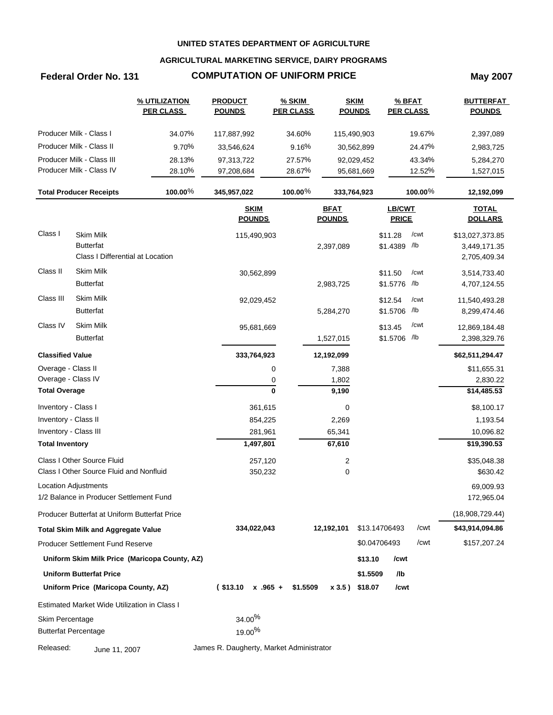### **AGRICULTURAL MARKETING SERVICE, DAIRY PROGRAMS**

# **Federal Order No. 131 COMPUTATION OF UNIFORM PRICE May 2007**

|                         |                                                                          | % UTILIZATION<br><b>PER CLASS</b>             | <b>PRODUCT</b><br><b>POUNDS</b>          |            | $%$ SKIM<br><b>PER CLASS</b> |                              | <b>SKIM</b><br><b>POUNDS</b> | <b>PER CLASS</b>              | $%$ BFAT    | <b>BUTTERFAT</b><br><b>POUNDS</b>               |
|-------------------------|--------------------------------------------------------------------------|-----------------------------------------------|------------------------------------------|------------|------------------------------|------------------------------|------------------------------|-------------------------------|-------------|-------------------------------------------------|
|                         | Producer Milk - Class I                                                  | 34.07%                                        | 117,887,992                              |            | 34.60%                       |                              | 115,490,903                  |                               | 19.67%      | 2,397,089                                       |
|                         | Producer Milk - Class II                                                 | 9.70%                                         | 33,546,624                               |            | 9.16%                        |                              | 30,562,899                   |                               | 24.47%      | 2,983,725                                       |
|                         | Producer Milk - Class III                                                | 28.13%                                        | 97,313,722                               |            | 27.57%                       |                              | 92,029,452                   |                               | 43.34%      | 5,284,270                                       |
|                         | Producer Milk - Class IV                                                 | 28.10%                                        | 97,208,684                               |            | 28.67%                       |                              | 95,681,669                   |                               | 12.52%      | 1,527,015                                       |
|                         | <b>Total Producer Receipts</b>                                           | 100.00%                                       | 345,957,022                              |            | 100.00%                      |                              | 333,764,923                  |                               | $100.00\%$  | 12,192,099                                      |
|                         |                                                                          |                                               | <b>SKIM</b><br><b>POUNDS</b>             |            |                              | <b>BFAT</b><br><b>POUNDS</b> |                              | <b>LB/CWT</b><br><b>PRICE</b> |             | <b>TOTAL</b><br><b>DOLLARS</b>                  |
| Class I                 | <b>Skim Milk</b><br><b>Butterfat</b><br>Class I Differential at Location |                                               | 115,490,903                              |            |                              | 2,397,089                    |                              | \$11.28<br>\$1.4389 /lb       | /cwt        | \$13,027,373.85<br>3,449,171.35<br>2,705,409.34 |
| Class II                | <b>Skim Milk</b><br><b>Butterfat</b>                                     |                                               |                                          | 30,562,899 |                              | 2,983,725                    |                              | \$11.50<br>\$1.5776           | /cwt<br>/lb | 3,514,733.40<br>4,707,124.55                    |
| Class III               | <b>Skim Milk</b><br><b>Butterfat</b>                                     |                                               |                                          | 92,029,452 |                              | 5,284,270                    |                              | \$12.54<br>\$1.5706           | /cwt<br>/lb | 11,540,493.28<br>8,299,474.46                   |
| Class IV                | <b>Skim Milk</b><br><b>Butterfat</b>                                     |                                               |                                          | 95,681,669 |                              | 1,527,015                    |                              | \$13.45<br>\$1.5706 /lb       | /cwt        | 12,869,184.48<br>2,398,329.76                   |
| <b>Classified Value</b> |                                                                          |                                               | 333,764,923                              |            |                              | 12,192,099                   |                              |                               |             | \$62,511,294.47                                 |
| Overage - Class II      |                                                                          |                                               |                                          | 0          |                              | 7,388                        |                              |                               |             | \$11,655.31                                     |
| Overage - Class IV      |                                                                          |                                               |                                          | 0          |                              | 1,802                        |                              |                               |             | 2,830.22                                        |
| <b>Total Overage</b>    |                                                                          |                                               |                                          | 0          |                              | 9,190                        |                              |                               |             | \$14,485.53                                     |
| Inventory - Class I     |                                                                          |                                               |                                          | 361,615    |                              | 0                            |                              |                               |             | \$8,100.17                                      |
| Inventory - Class II    |                                                                          |                                               |                                          | 854,225    |                              | 2,269                        |                              |                               |             | 1,193.54                                        |
| Inventory - Class III   |                                                                          |                                               |                                          | 281,961    |                              | 65,341                       |                              |                               |             | 10,096.82                                       |
| <b>Total Inventory</b>  |                                                                          |                                               |                                          | 1,497,801  |                              | 67,610                       |                              |                               |             | \$19,390.53                                     |
|                         | Class I Other Source Fluid                                               |                                               |                                          | 257,120    |                              | $\overline{\mathbf{c}}$      |                              |                               |             | \$35,048.38                                     |
|                         | Class I Other Source Fluid and Nonfluid                                  |                                               |                                          | 350,232    |                              | 0                            |                              |                               |             | \$630.42                                        |
|                         | <b>Location Adjustments</b><br>1/2 Balance in Producer Settlement Fund   |                                               |                                          |            |                              |                              |                              |                               |             | 69,009.93<br>172,965.04                         |
|                         | Producer Butterfat at Uniform Butterfat Price                            |                                               |                                          |            |                              |                              |                              |                               |             | (18,908,729.44)                                 |
|                         | <b>Total Skim Milk and Aggregate Value</b>                               |                                               | 334,022,043                              |            |                              | 12,192,101                   |                              | \$13.14706493                 | /cwt        | \$43,914,094.86                                 |
|                         | <b>Producer Settlement Fund Reserve</b>                                  |                                               |                                          |            |                              |                              | \$0.04706493                 |                               | /cwt        | \$157,207.24                                    |
|                         |                                                                          | Uniform Skim Milk Price (Maricopa County, AZ) |                                          |            |                              |                              | \$13.10                      | /cwt                          |             |                                                 |
|                         | <b>Uniform Butterfat Price</b>                                           |                                               |                                          |            |                              |                              | \$1.5509                     | /lb                           |             |                                                 |
|                         | Uniform Price (Maricopa County, AZ)                                      |                                               | $(S13.10 \times .965 +$                  |            | \$1.5509                     |                              | x 3.5) \$18.07               | /cwt                          |             |                                                 |
|                         | Estimated Market Wide Utilization in Class I                             |                                               |                                          |            |                              |                              |                              |                               |             |                                                 |
| Skim Percentage         |                                                                          |                                               | $34.00\%$                                |            |                              |                              |                              |                               |             |                                                 |
|                         | <b>Butterfat Percentage</b>                                              |                                               | 19.00 <sup>%</sup>                       |            |                              |                              |                              |                               |             |                                                 |
| Released:               | June 11, 2007                                                            |                                               | James R. Daugherty, Market Administrator |            |                              |                              |                              |                               |             |                                                 |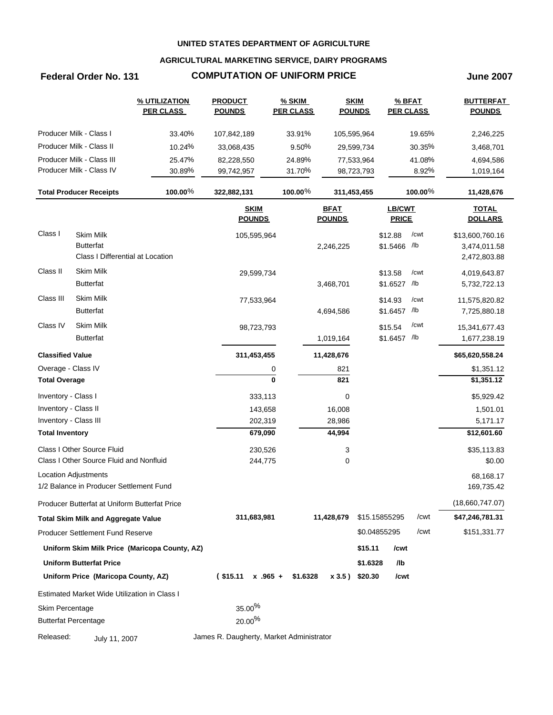### **AGRICULTURAL MARKETING SERVICE, DAIRY PROGRAMS**

## **Federal Order No. 131 COMPUTATION OF UNIFORM PRICE June 2007**

|                         |                                               | % UTILIZATION<br><b>PER CLASS</b>             | <b>PRODUCT</b><br><b>POUNDS</b>          | <b>% SKIM</b><br><b>PER CLASS</b> |                              | <b>SKIM</b><br><b>POUNDS</b> | % BFAT<br><b>PER CLASS</b> |            | <b>BUTTERFAT</b><br><b>POUNDS</b> |
|-------------------------|-----------------------------------------------|-----------------------------------------------|------------------------------------------|-----------------------------------|------------------------------|------------------------------|----------------------------|------------|-----------------------------------|
|                         | Producer Milk - Class I                       | 33.40%                                        | 107,842,189                              | 33.91%                            |                              | 105,595,964                  |                            | 19.65%     | 2,246,225                         |
|                         | Producer Milk - Class II                      | 10.24%                                        | 33,068,435                               | 9.50%                             |                              | 29,599,734                   |                            | 30.35%     | 3,468,701                         |
|                         | Producer Milk - Class III                     | 25.47%                                        | 82,228,550                               | 24.89%                            |                              | 77,533,964                   |                            | 41.08%     | 4,694,586                         |
|                         | Producer Milk - Class IV                      | 30.89%                                        | 99,742,957                               | 31.70%                            |                              | 98,723,793                   |                            | 8.92%      | 1,019,164                         |
|                         | <b>Total Producer Receipts</b>                | 100.00%                                       | 322,882,131                              | 100.00%                           |                              | 311,453,455                  |                            | 100.00 $%$ | 11,428,676                        |
|                         |                                               |                                               |                                          |                                   |                              |                              |                            |            |                                   |
|                         |                                               |                                               | <b>SKIM</b><br><b>POUNDS</b>             |                                   | <b>BFAT</b><br><b>POUNDS</b> |                              | LB/CWT<br><b>PRICE</b>     |            | <b>TOTAL</b><br><b>DOLLARS</b>    |
| Class I                 | <b>Skim Milk</b>                              |                                               | 105,595,964                              |                                   |                              |                              | \$12.88                    | /cwt       | \$13,600,760.16                   |
|                         | <b>Butterfat</b>                              |                                               |                                          |                                   | 2,246,225                    |                              | \$1.5466 /lb               |            | 3,474,011.58                      |
|                         | Class I Differential at Location              |                                               |                                          |                                   |                              |                              |                            |            | 2,472,803.88                      |
| Class II                | <b>Skim Milk</b>                              |                                               | 29,599,734                               |                                   |                              |                              | \$13.58                    | /cwt       | 4,019,643.87                      |
|                         | <b>Butterfat</b>                              |                                               |                                          |                                   | 3,468,701                    |                              | \$1.6527 /lb               |            | 5,732,722.13                      |
| Class III               | Skim Milk                                     |                                               | 77,533,964                               |                                   |                              |                              | \$14.93                    | /cwt       | 11,575,820.82                     |
|                         | <b>Butterfat</b>                              |                                               |                                          |                                   | 4,694,586                    |                              | \$1.6457 /lb               |            | 7,725,880.18                      |
| Class IV                | <b>Skim Milk</b>                              |                                               | 98,723,793                               |                                   |                              |                              | \$15.54                    | /cwt       | 15,341,677.43                     |
|                         | <b>Butterfat</b>                              |                                               |                                          |                                   | 1,019,164                    |                              | \$1.6457 /lb               |            | 1,677,238.19                      |
| <b>Classified Value</b> |                                               |                                               | 311,453,455                              |                                   | 11,428,676                   |                              |                            |            | \$65,620,558.24                   |
| Overage - Class IV      |                                               |                                               | 0                                        |                                   | 821                          |                              |                            |            | \$1,351.12                        |
| <b>Total Overage</b>    |                                               |                                               | $\mathbf{0}$                             |                                   | 821                          |                              |                            |            | \$1,351.12                        |
| Inventory - Class I     |                                               |                                               | 333,113                                  |                                   | 0                            |                              |                            |            | \$5,929.42                        |
| Inventory - Class II    |                                               |                                               | 143,658                                  |                                   | 16,008                       |                              |                            |            | 1,501.01                          |
| Inventory - Class III   |                                               |                                               | 202,319                                  |                                   | 28,986                       |                              |                            |            | 5,171.17                          |
| <b>Total Inventory</b>  |                                               |                                               | 679,090                                  |                                   | 44,994                       |                              |                            |            | \$12,601.60                       |
|                         | Class I Other Source Fluid                    |                                               | 230,526                                  |                                   | 3                            |                              |                            |            | \$35,113.83                       |
|                         | Class I Other Source Fluid and Nonfluid       |                                               | 244,775                                  |                                   | 0                            |                              |                            |            | \$0.00                            |
|                         | <b>Location Adjustments</b>                   |                                               |                                          |                                   |                              |                              |                            |            | 68,168.17                         |
|                         | 1/2 Balance in Producer Settlement Fund       |                                               |                                          |                                   |                              |                              |                            |            | 169,735.42                        |
|                         | Producer Butterfat at Uniform Butterfat Price |                                               |                                          |                                   |                              |                              |                            |            | (18,660,747.07)                   |
|                         | <b>Total Skim Milk and Aggregate Value</b>    |                                               | 311,683,981                              |                                   | 11,428,679                   |                              | \$15.15855295              | /cwt       | \$47,246,781.31                   |
|                         | <b>Producer Settlement Fund Reserve</b>       |                                               |                                          |                                   |                              |                              | \$0.04855295               | /cwt       | \$151,331.77                      |
|                         |                                               | Uniform Skim Milk Price (Maricopa County, AZ) |                                          |                                   |                              | \$15.11                      | /cwt                       |            |                                   |
|                         | <b>Uniform Butterfat Price</b>                |                                               |                                          |                                   |                              | \$1.6328                     | /lb                        |            |                                   |
|                         | Uniform Price (Maricopa County, AZ)           |                                               | $($15.11 \times .965 +$                  | \$1.6328                          |                              | x 3.5) \$20.30               | /cwt                       |            |                                   |
|                         | Estimated Market Wide Utilization in Class I  |                                               |                                          |                                   |                              |                              |                            |            |                                   |
| Skim Percentage         |                                               |                                               | $35.00\%$                                |                                   |                              |                              |                            |            |                                   |
|                         | <b>Butterfat Percentage</b>                   |                                               | $20.00\%$                                |                                   |                              |                              |                            |            |                                   |
| Released:               | July 11, 2007                                 |                                               | James R. Daugherty, Market Administrator |                                   |                              |                              |                            |            |                                   |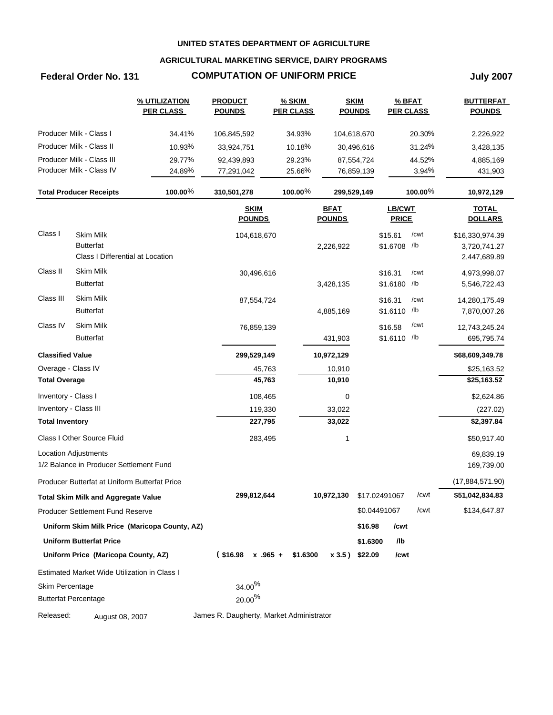### **AGRICULTURAL MARKETING SERVICE, DAIRY PROGRAMS**

# **Federal Order No. 131 COMPUTATION OF UNIFORM PRICE July 2007**

|                         |                                               | % UTILIZATION<br><b>PER CLASS</b>             | <b>PRODUCT</b><br><b>POUNDS</b>          | <b>% SKIM</b><br><b>PER CLASS</b> | <b>SKIM</b><br><b>POUNDS</b> |               | % BFAT<br><b>PER CLASS</b> |            | <b>BUTTERFAT</b><br><b>POUNDS</b> |
|-------------------------|-----------------------------------------------|-----------------------------------------------|------------------------------------------|-----------------------------------|------------------------------|---------------|----------------------------|------------|-----------------------------------|
|                         | Producer Milk - Class I                       | 34.41%                                        | 106,845,592                              | 34.93%                            | 104,618,670                  |               |                            | 20.30%     | 2,226,922                         |
|                         | Producer Milk - Class II                      | 10.93%                                        | 33,924,751                               | 10.18%                            |                              | 30,496,616    |                            | 31.24%     | 3,428,135                         |
|                         | Producer Milk - Class III                     | 29.77%                                        | 92,439,893                               | 29.23%                            |                              | 87,554,724    |                            | 44.52%     | 4,885,169                         |
|                         | Producer Milk - Class IV                      | 24.89%                                        | 77,291,042                               | 25.66%                            |                              | 76,859,139    |                            | 3.94%      | 431,903                           |
|                         | <b>Total Producer Receipts</b>                | 100.00%                                       | 310,501,278                              | 100.00%                           | 299,529,149                  |               |                            | 100.00 $%$ | 10,972,129                        |
|                         |                                               |                                               | <b>SKIM</b><br><b>POUNDS</b>             |                                   | <b>BFAT</b><br><b>POUNDS</b> |               | LB/CWT<br><b>PRICE</b>     |            | <b>TOTAL</b><br><b>DOLLARS</b>    |
| Class I                 | <b>Skim Milk</b>                              |                                               | 104,618,670                              |                                   |                              |               | \$15.61                    | /cwt       | \$16,330,974.39                   |
|                         | <b>Butterfat</b>                              |                                               |                                          |                                   | 2,226,922                    |               | \$1.6708 /lb               |            | 3,720,741.27                      |
|                         | Class I Differential at Location              |                                               |                                          |                                   |                              |               |                            |            | 2,447,689.89                      |
| Class II                | <b>Skim Milk</b>                              |                                               | 30,496,616                               |                                   |                              |               | \$16.31                    | /cwt       | 4,973,998.07                      |
|                         | <b>Butterfat</b>                              |                                               |                                          |                                   | 3,428,135                    |               | \$1.6180 /b                |            | 5,546,722.43                      |
| Class III               | Skim Milk                                     |                                               | 87,554,724                               |                                   |                              |               | \$16.31                    | /cwt       | 14,280,175.49                     |
|                         | <b>Butterfat</b>                              |                                               |                                          |                                   | 4,885,169                    |               | \$1.6110 /lb               |            | 7,870,007.26                      |
| Class IV                | Skim Milk                                     |                                               | 76,859,139                               |                                   |                              |               | \$16.58                    | /cwt       | 12,743,245.24                     |
|                         | <b>Butterfat</b>                              |                                               |                                          |                                   | 431,903                      |               | \$1.6110 /lb               |            | 695,795.74                        |
| <b>Classified Value</b> |                                               |                                               | 299,529,149                              |                                   | 10,972,129                   |               |                            |            | \$68,609,349.78                   |
| Overage - Class IV      |                                               |                                               | 45,763                                   |                                   | 10,910                       |               |                            |            | \$25,163.52                       |
| <b>Total Overage</b>    |                                               |                                               | 45,763                                   |                                   | 10,910                       |               |                            |            | \$25,163.52                       |
| Inventory - Class I     |                                               |                                               | 108,465                                  |                                   | 0                            |               |                            |            | \$2,624.86                        |
| Inventory - Class III   |                                               |                                               | 119,330                                  |                                   | 33,022                       |               |                            |            | (227.02)                          |
| <b>Total Inventory</b>  |                                               |                                               | 227,795                                  |                                   | 33,022                       |               |                            |            | \$2,397.84                        |
|                         | Class I Other Source Fluid                    |                                               | 283,495                                  |                                   | 1                            |               |                            |            | \$50,917.40                       |
|                         | <b>Location Adjustments</b>                   |                                               |                                          |                                   |                              |               |                            |            | 69,839.19                         |
|                         | 1/2 Balance in Producer Settlement Fund       |                                               |                                          |                                   |                              |               |                            |            | 169,739.00                        |
|                         | Producer Butterfat at Uniform Butterfat Price |                                               |                                          |                                   |                              |               |                            |            | (17,884,571.90)                   |
|                         | <b>Total Skim Milk and Aggregate Value</b>    |                                               | 299,812,644                              |                                   | 10,972,130                   | \$17.02491067 |                            | /cwt       | \$51,042,834.83                   |
|                         | <b>Producer Settlement Fund Reserve</b>       |                                               |                                          |                                   |                              | \$0.04491067  |                            | /cwt       | \$134,647.87                      |
|                         |                                               | Uniform Skim Milk Price (Maricopa County, AZ) |                                          |                                   |                              | \$16.98       | /cwt                       |            |                                   |
|                         | <b>Uniform Butterfat Price</b>                |                                               |                                          |                                   |                              | \$1.6300      | /lb                        |            |                                   |
|                         | Uniform Price (Maricopa County, AZ)           |                                               | $($16.98 \times .965 +$                  | \$1.6300                          | $x 3.5$ ) \$22.09            |               | /cwt                       |            |                                   |
|                         | Estimated Market Wide Utilization in Class I  |                                               |                                          |                                   |                              |               |                            |            |                                   |
| Skim Percentage         |                                               |                                               | $34.00\%$                                |                                   |                              |               |                            |            |                                   |
|                         | <b>Butterfat Percentage</b>                   |                                               | $20.00\%$                                |                                   |                              |               |                            |            |                                   |
| Released:               | August 08, 2007                               |                                               | James R. Daugherty, Market Administrator |                                   |                              |               |                            |            |                                   |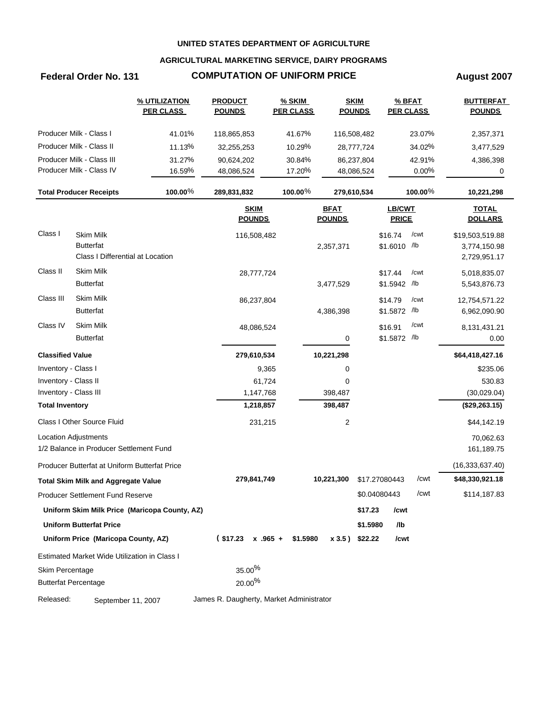### **AGRICULTURAL MARKETING SERVICE, DAIRY PROGRAMS**

# **Federal Order No. 131 COMPUTATION OF UNIFORM PRICE August 2007**

|                         |                                               | % UTILIZATION<br><b>PER CLASS</b>             | <b>PRODUCT</b><br><b>POUNDS</b>          | <b>% SKIM</b><br><b>PER CLASS</b> |                              | <b>SKIM</b><br><b>POUNDS</b> | % BFAT<br><b>PER CLASS</b> |            | <b>BUTTERFAT</b><br><b>POUNDS</b> |
|-------------------------|-----------------------------------------------|-----------------------------------------------|------------------------------------------|-----------------------------------|------------------------------|------------------------------|----------------------------|------------|-----------------------------------|
|                         | Producer Milk - Class I                       | 41.01%                                        | 118,865,853                              | 41.67%                            |                              | 116,508,482                  |                            | 23.07%     | 2,357,371                         |
|                         | Producer Milk - Class II                      | 11.13%                                        | 32,255,253                               | 10.29%                            |                              | 28,777,724                   |                            | 34.02%     | 3,477,529                         |
|                         | Producer Milk - Class III                     | 31.27%                                        | 90,624,202                               | 30.84%                            |                              | 86,237,804                   |                            | 42.91%     | 4,386,398                         |
|                         | Producer Milk - Class IV                      | 16.59%                                        | 48,086,524                               | 17.20%                            |                              | 48,086,524                   |                            | 0.00%      | 0                                 |
|                         | <b>Total Producer Receipts</b>                | 100.00%                                       | 289,831,832                              | 100.00 $%$                        | 279,610,534                  |                              |                            | $100.00\%$ | 10,221,298                        |
|                         |                                               |                                               | <b>SKIM</b><br><b>POUNDS</b>             |                                   | <b>BFAT</b><br><b>POUNDS</b> |                              | LB/CWT<br><b>PRICE</b>     |            | <b>TOTAL</b><br><b>DOLLARS</b>    |
| Class I                 | <b>Skim Milk</b>                              |                                               | 116,508,482                              |                                   |                              |                              | \$16.74                    | /cwt       | \$19,503,519.88                   |
|                         | <b>Butterfat</b>                              |                                               |                                          |                                   | 2,357,371                    |                              | \$1.6010 /lb               |            | 3,774,150.98                      |
|                         | Class I Differential at Location              |                                               |                                          |                                   |                              |                              |                            |            | 2,729,951.17                      |
| Class II                | <b>Skim Milk</b>                              |                                               | 28,777,724                               |                                   |                              |                              | \$17.44                    | /cwt       | 5,018,835.07                      |
|                         | <b>Butterfat</b>                              |                                               |                                          |                                   | 3,477,529                    |                              | \$1.5942 /lb               |            | 5,543,876.73                      |
| Class III               | Skim Milk                                     |                                               | 86,237,804                               |                                   |                              |                              | \$14.79                    | /cwt       | 12,754,571.22                     |
|                         | <b>Butterfat</b>                              |                                               |                                          |                                   | 4,386,398                    |                              | \$1.5872 /lb               |            | 6,962,090.90                      |
| Class IV                | Skim Milk                                     |                                               | 48,086,524                               |                                   |                              |                              | \$16.91                    | /cwt       | 8,131,431.21                      |
|                         | <b>Butterfat</b>                              |                                               |                                          |                                   | 0                            |                              | \$1.5872 /lb               |            | 0.00                              |
| <b>Classified Value</b> |                                               |                                               | 279,610,534                              |                                   | 10,221,298                   |                              |                            |            | \$64,418,427.16                   |
| Inventory - Class I     |                                               |                                               | 9,365                                    |                                   | 0                            |                              |                            |            | \$235.06                          |
| Inventory - Class II    |                                               |                                               | 61,724                                   |                                   | 0                            |                              |                            |            | 530.83                            |
| Inventory - Class III   |                                               |                                               | 1,147,768                                |                                   | 398,487                      |                              |                            |            | (30,029.04)                       |
| <b>Total Inventory</b>  |                                               |                                               | 1,218,857                                |                                   | 398,487                      |                              |                            |            | (\$29,263.15)                     |
|                         | Class I Other Source Fluid                    |                                               | 231,215                                  |                                   | 2                            |                              |                            |            | \$44,142.19                       |
|                         | Location Adjustments                          |                                               |                                          |                                   |                              |                              |                            |            | 70,062.63                         |
|                         | 1/2 Balance in Producer Settlement Fund       |                                               |                                          |                                   |                              |                              |                            |            | 161,189.75                        |
|                         | Producer Butterfat at Uniform Butterfat Price |                                               |                                          |                                   |                              |                              |                            |            | (16, 333, 637.40)                 |
|                         | <b>Total Skim Milk and Aggregate Value</b>    |                                               | 279,841,749                              |                                   | 10,221,300                   |                              | \$17.27080443              | /cwt       | \$48,330,921.18                   |
|                         | Producer Settlement Fund Reserve              |                                               |                                          |                                   |                              |                              | \$0.04080443               | /cwt       | \$114,187.83                      |
|                         |                                               | Uniform Skim Milk Price (Maricopa County, AZ) |                                          |                                   |                              | \$17.23                      | /cwt                       |            |                                   |
|                         | <b>Uniform Butterfat Price</b>                |                                               |                                          |                                   |                              | \$1.5980                     | /lb                        |            |                                   |
|                         | Uniform Price (Maricopa County, AZ)           |                                               | $$17.23 \times .965 + $1.5980$           |                                   | x 3.5) \$22.22               |                              | /cwt                       |            |                                   |
|                         | Estimated Market Wide Utilization in Class I  |                                               |                                          |                                   |                              |                              |                            |            |                                   |
| Skim Percentage         |                                               |                                               | $35.00\%$                                |                                   |                              |                              |                            |            |                                   |
|                         | <b>Butterfat Percentage</b>                   |                                               | $20.00\%$                                |                                   |                              |                              |                            |            |                                   |
| Released:               | September 11, 2007                            |                                               | James R. Daugherty, Market Administrator |                                   |                              |                              |                            |            |                                   |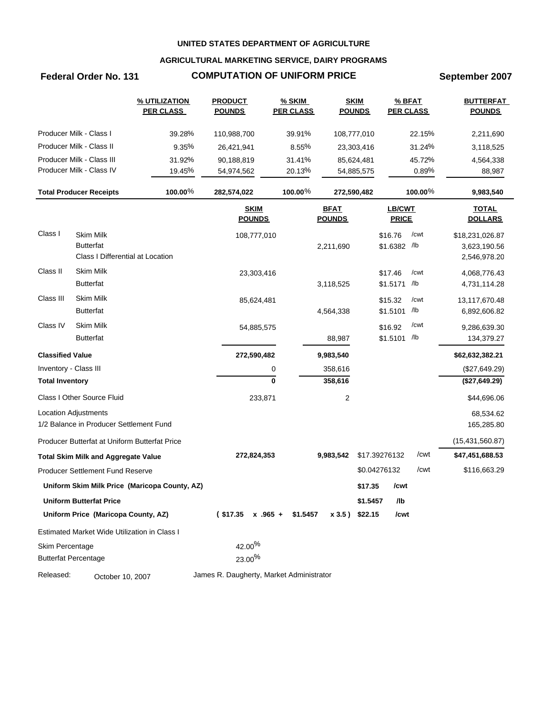### **AGRICULTURAL MARKETING SERVICE, DAIRY PROGRAMS**

# **Federal Order No. 131 COMPUTATION OF UNIFORM PRICE September 2007**

|                         |                                                                          | % UTILIZATION<br><b>PER CLASS</b>             | <b>PRODUCT</b><br><b>POUNDS</b>          | % SKIM<br><b>PER CLASS</b> |                              | <b>SKIM</b><br><b>POUNDS</b>  |                               | % BFAT<br><b>PER CLASS</b> | <b>BUTTERFAT</b><br><b>POUNDS</b>               |
|-------------------------|--------------------------------------------------------------------------|-----------------------------------------------|------------------------------------------|----------------------------|------------------------------|-------------------------------|-------------------------------|----------------------------|-------------------------------------------------|
|                         | Producer Milk - Class I                                                  | 39.28%                                        | 110,988,700                              | 39.91%                     |                              | 108,777,010                   |                               | 22.15%                     | 2,211,690                                       |
|                         | Producer Milk - Class II                                                 | 9.35%                                         | 26,421,941                               | 8.55%                      |                              | 23,303,416                    |                               | 31.24%                     | 3,118,525                                       |
|                         | Producer Milk - Class III                                                | 31.92%                                        | 90,188,819                               | 31.41%                     |                              | 85,624,481                    |                               | 45.72%                     | 4,564,338                                       |
|                         | Producer Milk - Class IV                                                 | 19.45%                                        | 54,974,562                               | 20.13%                     |                              | 54,885,575                    |                               | 0.89%                      | 88,987                                          |
|                         | <b>Total Producer Receipts</b>                                           | 100.00%                                       | 282,574,022                              | 100.00 $%$                 |                              | 272,590,482                   |                               | 100.00 $%$                 | 9,983,540                                       |
|                         |                                                                          |                                               | <b>SKIM</b><br><b>POUNDS</b>             |                            | <b>BFAT</b><br><b>POUNDS</b> |                               | <b>LB/CWT</b><br><b>PRICE</b> |                            | <b>TOTAL</b><br><b>DOLLARS</b>                  |
| Class I                 | <b>Skim Milk</b><br><b>Butterfat</b><br>Class I Differential at Location |                                               | 108,777,010                              |                            | 2,211,690                    |                               | \$16.76<br>\$1.6382 /lb       | /cwt                       | \$18,231,026.87<br>3,623,190.56<br>2,546,978.20 |
| Class II                | <b>Skim Milk</b><br><b>Butterfat</b>                                     |                                               | 23,303,416                               |                            | 3,118,525                    |                               | \$17.46<br>\$1.5171           | /cwt<br>/lb                | 4,068,776.43<br>4,731,114.28                    |
| Class III               | <b>Skim Milk</b><br><b>Butterfat</b>                                     |                                               | 85,624,481                               |                            | 4,564,338                    |                               | \$15.32<br>\$1.5101           | /cwt<br>/lb                | 13,117,670.48<br>6,892,606.82                   |
| Class IV                | Skim Milk<br><b>Butterfat</b>                                            |                                               | 54,885,575                               |                            | 88,987                       |                               | \$16.92<br>\$1.5101 /lb       | /cwt                       | 9,286,639.30<br>134,379.27                      |
| <b>Classified Value</b> |                                                                          |                                               | 272,590,482                              |                            | 9,983,540                    |                               |                               |                            | \$62,632,382.21                                 |
| Inventory - Class III   |                                                                          |                                               |                                          | 0                          | 358,616                      |                               |                               |                            | (\$27,649.29)                                   |
| <b>Total Inventory</b>  |                                                                          |                                               |                                          | $\bf{0}$                   | 358,616                      |                               |                               |                            | (\$27,649.29)                                   |
|                         | Class I Other Source Fluid                                               |                                               | 233,871                                  |                            | 2                            |                               |                               |                            | \$44,696.06                                     |
|                         | <b>Location Adjustments</b>                                              |                                               |                                          |                            |                              |                               |                               |                            | 68,534.62                                       |
|                         | 1/2 Balance in Producer Settlement Fund                                  |                                               |                                          |                            |                              |                               |                               |                            | 165,285.80                                      |
|                         | Producer Butterfat at Uniform Butterfat Price                            |                                               | 272,824,353                              |                            | 9,983,542                    |                               | \$17.39276132                 | /cwt                       | (15, 431, 560.87)<br>\$47,451,688.53            |
|                         | <b>Total Skim Milk and Aggregate Value</b>                               |                                               |                                          |                            |                              |                               |                               |                            |                                                 |
|                         | Producer Settlement Fund Reserve                                         |                                               |                                          |                            |                              |                               | \$0.04276132                  | /cwt                       | \$116,663.29                                    |
|                         |                                                                          | Uniform Skim Milk Price (Maricopa County, AZ) |                                          |                            |                              | \$17.35                       | /cwt                          |                            |                                                 |
|                         | <b>Uniform Butterfat Price</b><br>Uniform Price (Maricopa County, AZ)    |                                               | $$17.35 \times .965 + $1.5457$           |                            |                              | \$1.5457<br>$x 3.5$ ) \$22.15 | /lb<br>/cwt                   |                            |                                                 |
|                         | Estimated Market Wide Utilization in Class I                             |                                               |                                          |                            |                              |                               |                               |                            |                                                 |
| Skim Percentage         |                                                                          |                                               | 42.00%                                   |                            |                              |                               |                               |                            |                                                 |
|                         | <b>Butterfat Percentage</b>                                              |                                               | 23.00%                                   |                            |                              |                               |                               |                            |                                                 |
| Released:               | October 10, 2007                                                         |                                               | James R. Daugherty, Market Administrator |                            |                              |                               |                               |                            |                                                 |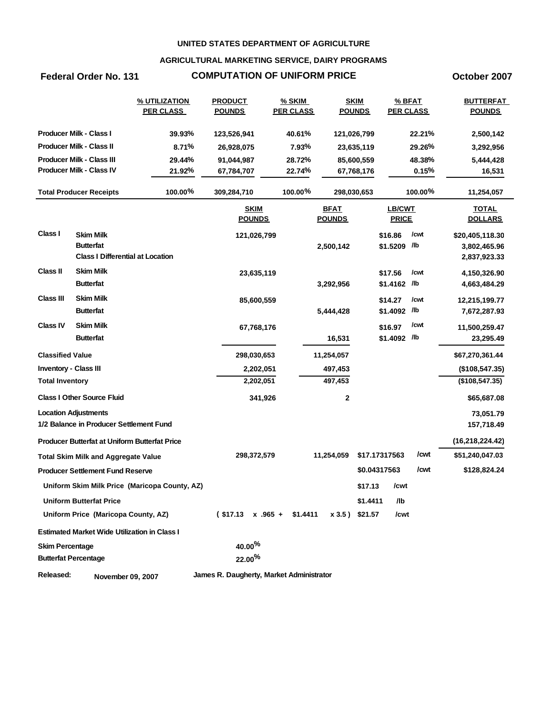### **AGRICULTURAL MARKETING SERVICE, DAIRY PROGRAMS**

## **Federal Order No. 131 COMPUTATION OF UNIFORM PRICE October 2007**

|                              |                                                             | % UTILIZATION<br><b>PER CLASS</b>             | <b>PRODUCT</b><br><b>POUNDS</b>          | % SKIM<br><b>PER CLASS</b> |                              | <b>SKIM</b><br><b>POUNDS</b> |                         | % BFAT<br><b>PER CLASS</b> | <b>BUTTERFAT</b><br><b>POUNDS</b> |
|------------------------------|-------------------------------------------------------------|-----------------------------------------------|------------------------------------------|----------------------------|------------------------------|------------------------------|-------------------------|----------------------------|-----------------------------------|
|                              | <b>Producer Milk - Class I</b>                              | 39.93%                                        | 123,526,941                              | 40.61%                     |                              | 121,026,799                  |                         | 22.21%                     | 2,500,142                         |
|                              | <b>Producer Milk - Class II</b>                             | 8.71%                                         | 26,928,075                               | 7.93%                      |                              | 23,635,119                   |                         | 29.26%                     | 3,292,956                         |
|                              | <b>Producer Milk - Class III</b>                            | 29.44%                                        | 91,044,987                               | 28.72%                     |                              | 85,600,559                   |                         | 48.38%                     | 5,444,428                         |
|                              | Producer Milk - Class IV                                    | 21.92%                                        | 67,784,707                               | 22.74%                     |                              | 67,768,176                   |                         | 0.15%                      | 16,531                            |
|                              | <b>Total Producer Receipts</b>                              | 100.00%                                       | 309,284,710                              | $100.00\%$                 |                              | 298,030,653                  |                         | $100.00\%$                 | 11,254,057                        |
|                              |                                                             |                                               | <b>SKIM</b><br><b>POUNDS</b>             |                            | <b>BFAT</b><br><b>POUNDS</b> |                              | LB/CWT<br><b>PRICE</b>  |                            | <b>TOTAL</b><br><b>DOLLARS</b>    |
| Class I                      | <b>Skim Milk</b>                                            |                                               | 121,026,799                              |                            |                              |                              | \$16.86                 | /cwt                       | \$20,405,118.30                   |
|                              | <b>Butterfat</b><br><b>Class I Differential at Location</b> |                                               |                                          |                            | 2,500,142                    |                              | \$1.5209 /lb            |                            | 3,802,465.96<br>2,837,923.33      |
| <b>Class II</b>              | <b>Skim Milk</b>                                            |                                               | 23,635,119                               |                            |                              |                              | \$17.56                 | /cwt                       | 4,150,326.90                      |
|                              | <b>Butterfat</b>                                            |                                               |                                          |                            | 3,292,956                    |                              | \$1.4162 /lb            |                            | 4,663,484.29                      |
| <b>Class III</b>             | <b>Skim Milk</b><br><b>Butterfat</b>                        |                                               | 85,600,559                               |                            | 5,444,428                    |                              | \$14.27<br>\$1.4092 /lb | /cwt                       | 12,215,199.77<br>7,672,287.93     |
| <b>Class IV</b>              | <b>Skim Milk</b>                                            |                                               | 67,768,176                               |                            |                              |                              | \$16.97                 | /cwt                       | 11,500,259.47                     |
|                              | <b>Butterfat</b>                                            |                                               |                                          |                            | 16,531                       |                              | \$1.4092 /lb            |                            | 23,295.49                         |
| <b>Classified Value</b>      |                                                             |                                               | 298,030,653                              |                            | 11,254,057                   |                              |                         |                            | \$67,270,361.44                   |
| <b>Inventory - Class III</b> |                                                             |                                               | 2,202,051                                |                            | 497,453                      |                              |                         |                            | (\$108,547.35)                    |
| <b>Total Inventory</b>       |                                                             |                                               | 2,202,051                                |                            | 497,453                      |                              |                         |                            | (\$108,547.35)                    |
|                              | <b>Class I Other Source Fluid</b>                           |                                               | 341,926                                  |                            | 2                            |                              |                         |                            | \$65,687.08                       |
|                              | <b>Location Adjustments</b>                                 |                                               |                                          |                            |                              |                              |                         |                            | 73,051.79                         |
|                              | 1/2 Balance in Producer Settlement Fund                     |                                               |                                          |                            |                              |                              |                         |                            | 157,718.49                        |
|                              | <b>Producer Butterfat at Uniform Butterfat Price</b>        |                                               |                                          |                            |                              |                              |                         |                            | (16, 218, 224.42)                 |
|                              | <b>Total Skim Milk and Aggregate Value</b>                  |                                               | 298,372,579                              |                            | 11,254,059                   |                              | \$17.17317563           | /cwt                       | \$51,240,047.03                   |
|                              | <b>Producer Settlement Fund Reserve</b>                     |                                               |                                          |                            |                              |                              | \$0.04317563            | /cwt                       | \$128,824.24                      |
|                              |                                                             | Uniform Skim Milk Price (Maricopa County, AZ) |                                          |                            |                              | \$17.13                      | /cwt                    |                            |                                   |
|                              | <b>Uniform Butterfat Price</b>                              |                                               |                                          |                            |                              | \$1.4411                     | /lb                     |                            |                                   |
|                              | Uniform Price (Maricopa County, AZ)                         |                                               | $($17.13 \times .965 + $1.4411$          |                            | x 3.5) \$21.57               |                              | /cwt                    |                            |                                   |
|                              | <b>Estimated Market Wide Utilization in Class I</b>         |                                               |                                          |                            |                              |                              |                         |                            |                                   |
| <b>Skim Percentage</b>       |                                                             |                                               | $40.00\%$                                |                            |                              |                              |                         |                            |                                   |
|                              | <b>Butterfat Percentage</b>                                 |                                               | 22.00%                                   |                            |                              |                              |                         |                            |                                   |
| Released:                    | November 09, 2007                                           |                                               | James R. Daugherty, Market Administrator |                            |                              |                              |                         |                            |                                   |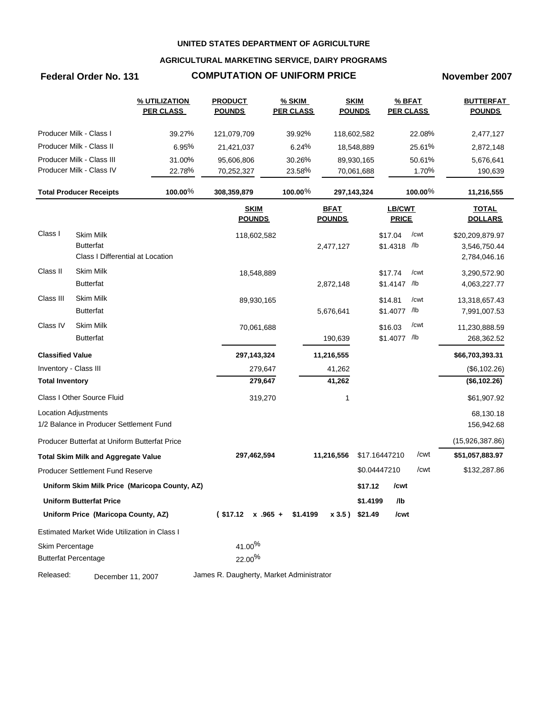### **AGRICULTURAL MARKETING SERVICE, DAIRY PROGRAMS**

## **Federal Order No. 131 COMPUTATION OF UNIFORM PRICE November 2007**

|                         |                                               | % UTILIZATION<br><b>PER CLASS</b>             | <b>PRODUCT</b><br><b>POUNDS</b>          | $%$ SKIM<br><b>PER CLASS</b> |                              | <b>SKIM</b><br><b>POUNDS</b> |                        | % BFAT<br><b>PER CLASS</b> | <b>BUTTERFAT</b><br><b>POUNDS</b> |
|-------------------------|-----------------------------------------------|-----------------------------------------------|------------------------------------------|------------------------------|------------------------------|------------------------------|------------------------|----------------------------|-----------------------------------|
|                         | Producer Milk - Class I                       | 39.27%                                        | 121,079,709                              | 39.92%                       |                              | 118,602,582                  |                        | 22.08%                     | 2,477,127                         |
|                         | Producer Milk - Class II                      | 6.95%                                         | 21,421,037                               | 6.24%                        |                              | 18,548,889                   |                        | 25.61%                     | 2,872,148                         |
|                         | Producer Milk - Class III                     | 31.00%                                        | 95,606,806                               | 30.26%                       |                              | 89,930,165                   |                        | 50.61%                     | 5,676,641                         |
|                         | Producer Milk - Class IV                      | 22.78%                                        | 70,252,327                               | 23.58%                       |                              | 70,061,688                   |                        | 1.70%                      | 190,639                           |
|                         | <b>Total Producer Receipts</b>                | 100.00%                                       | 308,359,879                              | 100.00 $%$                   |                              | 297, 143, 324                |                        | 100.00 $%$                 | 11,216,555                        |
|                         |                                               |                                               | <b>SKIM</b><br><b>POUNDS</b>             |                              | <b>BFAT</b><br><b>POUNDS</b> |                              | LB/CWT<br><b>PRICE</b> |                            | <b>TOTAL</b><br><b>DOLLARS</b>    |
| Class I                 | <b>Skim Milk</b>                              |                                               | 118,602,582                              |                              |                              |                              | \$17.04                | /cwt                       | \$20,209,879.97                   |
|                         | <b>Butterfat</b>                              |                                               |                                          |                              | 2,477,127                    |                              | \$1.4318 /lb           |                            | 3,546,750.44                      |
|                         | Class I Differential at Location              |                                               |                                          |                              |                              |                              |                        |                            | 2,784,046.16                      |
| Class II                | <b>Skim Milk</b>                              |                                               | 18,548,889                               |                              |                              |                              | \$17.74                | /cwt                       | 3,290,572.90                      |
|                         | <b>Butterfat</b>                              |                                               |                                          |                              | 2,872,148                    |                              | \$1.4147 /lb           |                            | 4,063,227.77                      |
| Class III               | Skim Milk                                     |                                               | 89,930,165                               |                              |                              |                              | \$14.81                | /cwt                       | 13,318,657.43                     |
|                         | <b>Butterfat</b>                              |                                               |                                          |                              | 5,676,641                    |                              | \$1.4077 /lb           |                            | 7,991,007.53                      |
| Class IV                | Skim Milk                                     |                                               | 70,061,688                               |                              |                              |                              | \$16.03                | /cwt                       | 11,230,888.59                     |
|                         | <b>Butterfat</b>                              |                                               |                                          |                              | 190,639                      |                              | \$1.4077 /lb           |                            | 268,362.52                        |
| <b>Classified Value</b> |                                               |                                               | 297, 143, 324                            |                              | 11,216,555                   |                              |                        |                            | \$66,703,393.31                   |
| Inventory - Class III   |                                               |                                               | 279,647                                  |                              | 41,262                       |                              |                        |                            | (\$6,102.26)                      |
| <b>Total Inventory</b>  |                                               |                                               | 279,647                                  |                              | 41,262                       |                              |                        |                            | (\$6,102.26)                      |
|                         | Class I Other Source Fluid                    |                                               | 319,270                                  |                              | 1                            |                              |                        |                            | \$61,907.92                       |
|                         | Location Adjustments                          |                                               |                                          |                              |                              |                              |                        |                            | 68,130.18                         |
|                         | 1/2 Balance in Producer Settlement Fund       |                                               |                                          |                              |                              |                              |                        |                            | 156,942.68                        |
|                         | Producer Butterfat at Uniform Butterfat Price |                                               |                                          |                              |                              |                              |                        |                            | (15,926,387.86)                   |
|                         | <b>Total Skim Milk and Aggregate Value</b>    |                                               | 297,462,594                              |                              | 11,216,556                   |                              | \$17.16447210          | /cwt                       | \$51,057,883.97                   |
|                         | Producer Settlement Fund Reserve              |                                               |                                          |                              |                              |                              | \$0.04447210           | /cwt                       | \$132,287.86                      |
|                         |                                               | Uniform Skim Milk Price (Maricopa County, AZ) |                                          |                              |                              | \$17.12                      | /cwt                   |                            |                                   |
|                         | <b>Uniform Butterfat Price</b>                |                                               |                                          |                              |                              | \$1.4199                     | /lb                    |                            |                                   |
|                         | Uniform Price (Maricopa County, AZ)           |                                               | $$17.12 \times .965 + $1.4199$           |                              |                              | x 3.5) \$21.49               | /cwt                   |                            |                                   |
|                         | Estimated Market Wide Utilization in Class I  |                                               |                                          |                              |                              |                              |                        |                            |                                   |
| Skim Percentage         |                                               |                                               | 41.00%                                   |                              |                              |                              |                        |                            |                                   |
|                         | <b>Butterfat Percentage</b>                   |                                               | 22.00%                                   |                              |                              |                              |                        |                            |                                   |
| Released:               | December 11, 2007                             |                                               | James R. Daugherty, Market Administrator |                              |                              |                              |                        |                            |                                   |